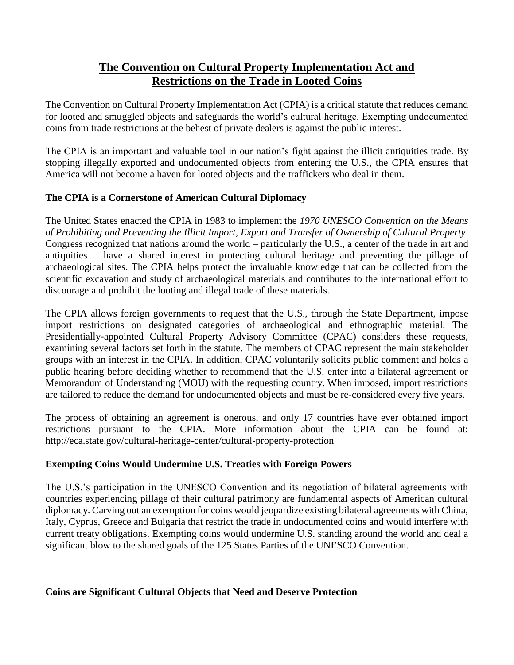# **The Convention on Cultural Property Implementation Act and Restrictions on the Trade in Looted Coins**

The Convention on Cultural Property Implementation Act (CPIA) is a critical statute that reduces demand for looted and smuggled objects and safeguards the world's cultural heritage. Exempting undocumented coins from trade restrictions at the behest of private dealers is against the public interest.

The CPIA is an important and valuable tool in our nation's fight against the illicit antiquities trade. By stopping illegally exported and undocumented objects from entering the U.S., the CPIA ensures that America will not become a haven for looted objects and the traffickers who deal in them.

## **The CPIA is a Cornerstone of American Cultural Diplomacy**

The United States enacted the CPIA in 1983 to implement the *1970 UNESCO Convention on the Means of Prohibiting and Preventing the Illicit Import, Export and Transfer of Ownership of Cultural Property*. Congress recognized that nations around the world – particularly the U.S., a center of the trade in art and antiquities – have a shared interest in protecting cultural heritage and preventing the pillage of archaeological sites. The CPIA helps protect the invaluable knowledge that can be collected from the scientific excavation and study of archaeological materials and contributes to the international effort to discourage and prohibit the looting and illegal trade of these materials.

The CPIA allows foreign governments to request that the U.S., through the State Department, impose import restrictions on designated categories of archaeological and ethnographic material. The Presidentially-appointed Cultural Property Advisory Committee (CPAC) considers these requests, examining several factors set forth in the statute. The members of CPAC represent the main stakeholder groups with an interest in the CPIA. In addition, CPAC voluntarily solicits public comment and holds a public hearing before deciding whether to recommend that the U.S. enter into a bilateral agreement or Memorandum of Understanding (MOU) with the requesting country. When imposed, import restrictions are tailored to reduce the demand for undocumented objects and must be re-considered every five years.

The process of obtaining an agreement is onerous, and only 17 countries have ever obtained import restrictions pursuant to the CPIA. More information about the CPIA can be found at: http://eca.state.gov/cultural-heritage-center/cultural-property-protection

## **Exempting Coins Would Undermine U.S. Treaties with Foreign Powers**

The U.S.'s participation in the UNESCO Convention and its negotiation of bilateral agreements with countries experiencing pillage of their cultural patrimony are fundamental aspects of American cultural diplomacy. Carving out an exemption for coins would jeopardize existing bilateral agreements with China, Italy, Cyprus, Greece and Bulgaria that restrict the trade in undocumented coins and would interfere with current treaty obligations. Exempting coins would undermine U.S. standing around the world and deal a significant blow to the shared goals of the 125 States Parties of the UNESCO Convention.

### **Coins are Significant Cultural Objects that Need and Deserve Protection**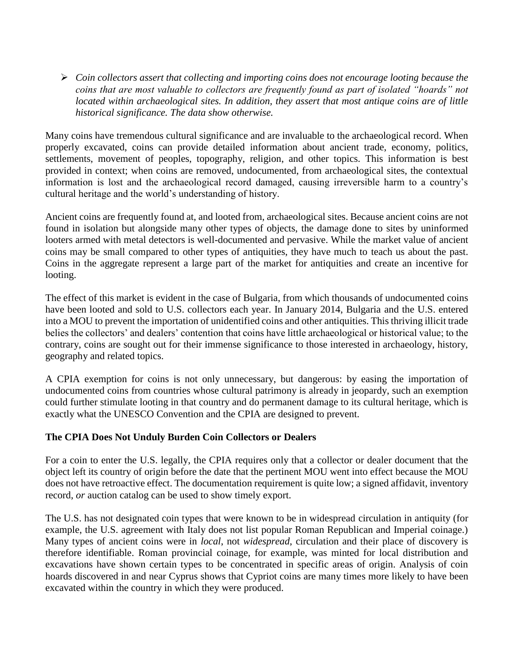*Coin collectors assert that collecting and importing coins does not encourage looting because the coins that are most valuable to collectors are frequently found as part of isolated "hoards" not located within archaeological sites. In addition, they assert that most antique coins are of little historical significance. The data show otherwise.*

Many coins have tremendous cultural significance and are invaluable to the archaeological record. When properly excavated, coins can provide detailed information about ancient trade, economy, politics, settlements, movement of peoples, topography, religion, and other topics. This information is best provided in context; when coins are removed, undocumented, from archaeological sites, the contextual information is lost and the archaeological record damaged, causing irreversible harm to a country's cultural heritage and the world's understanding of history.

Ancient coins are frequently found at, and looted from, archaeological sites. Because ancient coins are not found in isolation but alongside many other types of objects, the damage done to sites by uninformed looters armed with metal detectors is well-documented and pervasive. While the market value of ancient coins may be small compared to other types of antiquities, they have much to teach us about the past. Coins in the aggregate represent a large part of the market for antiquities and create an incentive for looting.

The effect of this market is evident in the case of Bulgaria, from which thousands of undocumented coins have been looted and sold to U.S. collectors each year. In January 2014, Bulgaria and the U.S. entered into a MOU to prevent the importation of unidentified coins and other antiquities. This thriving illicit trade belies the collectors' and dealers' contention that coins have little archaeological or historical value; to the contrary, coins are sought out for their immense significance to those interested in archaeology, history, geography and related topics.

A CPIA exemption for coins is not only unnecessary, but dangerous: by easing the importation of undocumented coins from countries whose cultural patrimony is already in jeopardy, such an exemption could further stimulate looting in that country and do permanent damage to its cultural heritage, which is exactly what the UNESCO Convention and the CPIA are designed to prevent.

### **The CPIA Does Not Unduly Burden Coin Collectors or Dealers**

For a coin to enter the U.S. legally, the CPIA requires only that a collector or dealer document that the object left its country of origin before the date that the pertinent MOU went into effect because the MOU does not have retroactive effect. The documentation requirement is quite low; a signed affidavit, inventory record, *or* auction catalog can be used to show timely export.

The U.S. has not designated coin types that were known to be in widespread circulation in antiquity (for example, the U.S. agreement with Italy does not list popular Roman Republican and Imperial coinage.) Many types of ancient coins were in *local*, not *widespread*, circulation and their place of discovery is therefore identifiable. Roman provincial coinage, for example, was minted for local distribution and excavations have shown certain types to be concentrated in specific areas of origin. Analysis of coin hoards discovered in and near Cyprus shows that Cypriot coins are many times more likely to have been excavated within the country in which they were produced.